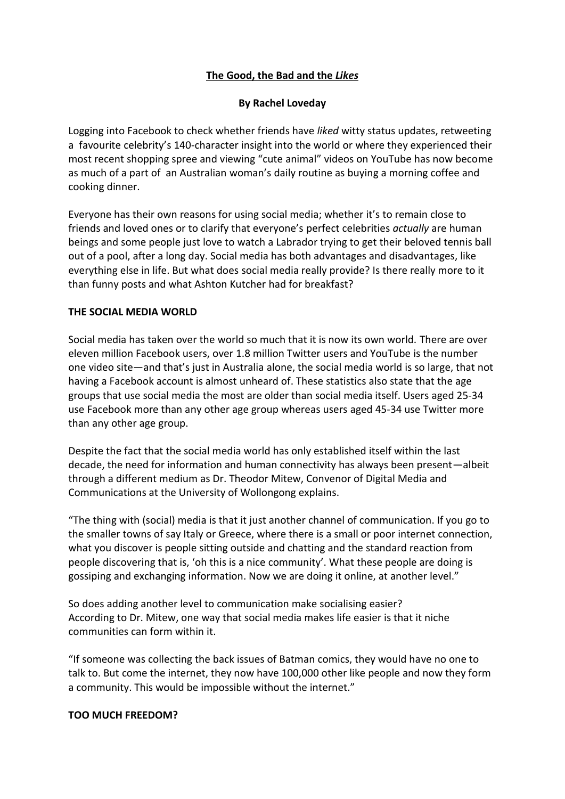# **The Good, the Bad and the** *Likes*

# **By Rachel Loveday**

Logging into Facebook to check whether friends have *liked* witty status updates, retweeting a favourite celebrity's 140-character insight into the world or where they experienced their most recent shopping spree and viewing "cute animal" videos on YouTube has now become as much of a part of an Australian woman's daily routine as buying a morning coffee and cooking dinner.

Everyone has their own reasons for using social media; whether it's to remain close to friends and loved ones or to clarify that everyone's perfect celebrities *actually* are human beings and some people just love to watch a Labrador trying to get their beloved tennis ball out of a pool, after a long day. Social media has both advantages and disadvantages, like everything else in life. But what does social media really provide? Is there really more to it than funny posts and what Ashton Kutcher had for breakfast?

## **THE SOCIAL MEDIA WORLD**

Social media has taken over the world so much that it is now its own world. There are over eleven million Facebook users, over 1.8 million Twitter users and YouTube is the number one video site—and that's just in Australia alone, the social media world is so large, that not having a Facebook account is almost unheard of. These statistics also state that the age groups that use social media the most are older than social media itself. Users aged 25-34 use Facebook more than any other age group whereas users aged 45-34 use Twitter more than any other age group.

Despite the fact that the social media world has only established itself within the last decade, the need for information and human connectivity has always been present—albeit through a different medium as Dr. Theodor Mitew, Convenor of Digital Media and Communications at the University of Wollongong explains.

"The thing with (social) media is that it just another channel of communication. If you go to the smaller towns of say Italy or Greece, where there is a small or poor internet connection, what you discover is people sitting outside and chatting and the standard reaction from people discovering that is, 'oh this is a nice community'. What these people are doing is gossiping and exchanging information. Now we are doing it online, at another level."

So does adding another level to communication make socialising easier? According to Dr. Mitew, one way that social media makes life easier is that it niche communities can form within it.

"If someone was collecting the back issues of Batman comics, they would have no one to talk to. But come the internet, they now have 100,000 other like people and now they form a community. This would be impossible without the internet."

#### **TOO MUCH FREEDOM?**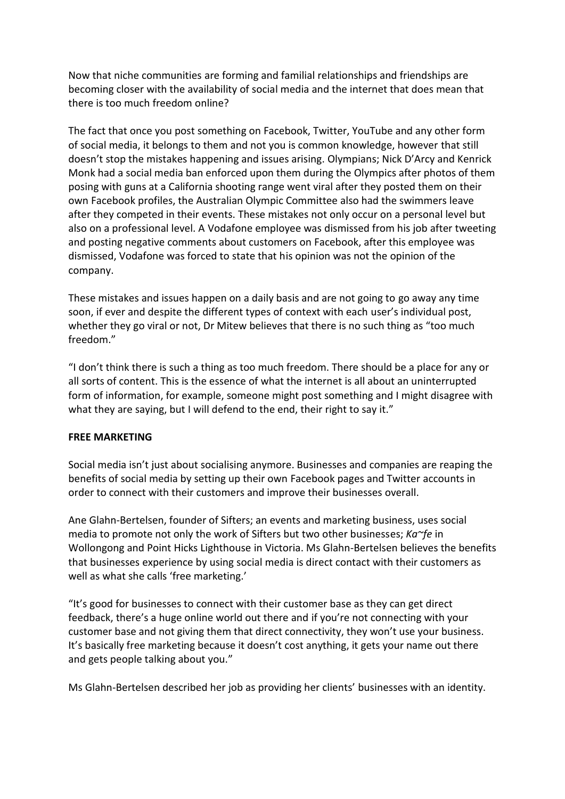Now that niche communities are forming and familial relationships and friendships are becoming closer with the availability of social media and the internet that does mean that there is too much freedom online?

The fact that once you post something on Facebook, Twitter, YouTube and any other form of social media, it belongs to them and not you is common knowledge, however that still doesn't stop the mistakes happening and issues arising. Olympians; Nick D'Arcy and Kenrick Monk had a social media ban enforced upon them during the Olympics after photos of them posing with guns at a California shooting range went viral after they posted them on their own Facebook profiles, the Australian Olympic Committee also had the swimmers leave after they competed in their events. These mistakes not only occur on a personal level but also on a professional level. A Vodafone employee was dismissed from his job after tweeting and posting negative comments about customers on Facebook, after this employee was dismissed, Vodafone was forced to state that his opinion was not the opinion of the company.

These mistakes and issues happen on a daily basis and are not going to go away any time soon, if ever and despite the different types of context with each user's individual post, whether they go viral or not, Dr Mitew believes that there is no such thing as "too much freedom."

"I don't think there is such a thing as too much freedom. There should be a place for any or all sorts of content. This is the essence of what the internet is all about an uninterrupted form of information, for example, someone might post something and I might disagree with what they are saying, but I will defend to the end, their right to say it."

#### **FREE MARKETING**

Social media isn't just about socialising anymore. Businesses and companies are reaping the benefits of social media by setting up their own Facebook pages and Twitter accounts in order to connect with their customers and improve their businesses overall.

Ane Glahn-Bertelsen, founder of Sifters; an events and marketing business, uses social media to promote not only the work of Sifters but two other businesses; *Ka~fe* in Wollongong and Point Hicks Lighthouse in Victoria. Ms Glahn-Bertelsen believes the benefits that businesses experience by using social media is direct contact with their customers as well as what she calls 'free marketing.'

"It's good for businesses to connect with their customer base as they can get direct feedback, there's a huge online world out there and if you're not connecting with your customer base and not giving them that direct connectivity, they won't use your business. It's basically free marketing because it doesn't cost anything, it gets your name out there and gets people talking about you."

Ms Glahn-Bertelsen described her job as providing her clients' businesses with an identity.